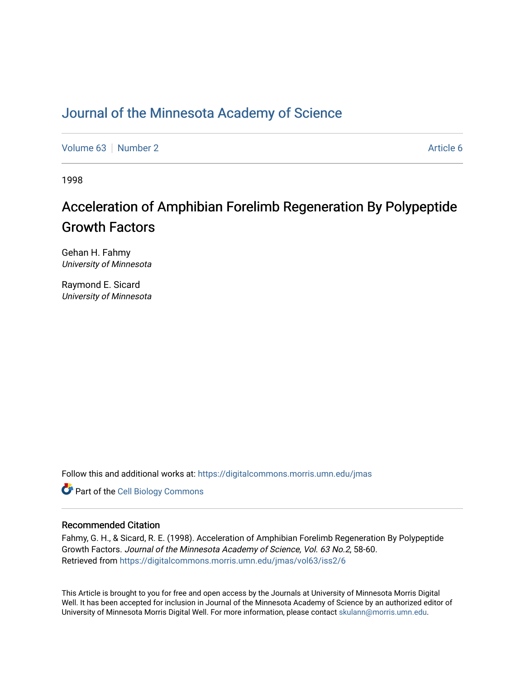## [Journal of the Minnesota Academy of Science](https://digitalcommons.morris.umn.edu/jmas)

[Volume 63](https://digitalcommons.morris.umn.edu/jmas/vol63) [Number 2](https://digitalcommons.morris.umn.edu/jmas/vol63/iss2) Article 6

1998

# Acceleration of Amphibian Forelimb Regeneration By Polypeptide Growth Factors

Gehan H. Fahmy University of Minnesota

Raymond E. Sicard University of Minnesota

Follow this and additional works at: [https://digitalcommons.morris.umn.edu/jmas](https://digitalcommons.morris.umn.edu/jmas?utm_source=digitalcommons.morris.umn.edu%2Fjmas%2Fvol63%2Fiss2%2F6&utm_medium=PDF&utm_campaign=PDFCoverPages) 

**Part of the Cell Biology Commons** 

### Recommended Citation

Fahmy, G. H., & Sicard, R. E. (1998). Acceleration of Amphibian Forelimb Regeneration By Polypeptide Growth Factors. Journal of the Minnesota Academy of Science, Vol. 63 No.2, 58-60. Retrieved from [https://digitalcommons.morris.umn.edu/jmas/vol63/iss2/6](https://digitalcommons.morris.umn.edu/jmas/vol63/iss2/6?utm_source=digitalcommons.morris.umn.edu%2Fjmas%2Fvol63%2Fiss2%2F6&utm_medium=PDF&utm_campaign=PDFCoverPages)

This Article is brought to you for free and open access by the Journals at University of Minnesota Morris Digital Well. It has been accepted for inclusion in Journal of the Minnesota Academy of Science by an authorized editor of University of Minnesota Morris Digital Well. For more information, please contact [skulann@morris.umn.edu](mailto:skulann@morris.umn.edu).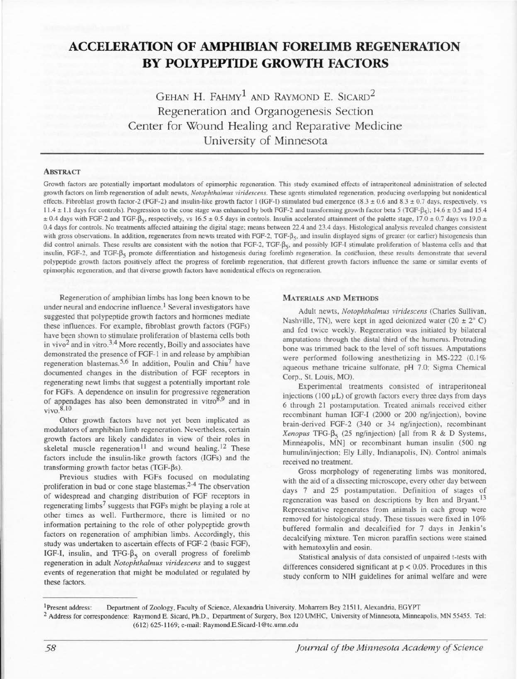## **ACCELERATION OF AMPHIBIAN FORELIMB REGENERATION BY POLYPEPTIDE GROWTII FACTORS**

GEHAN H. FAHMY<sup>1</sup> AND RAYMOND E. SICARD<sup>2</sup> Regeneration and Organogenesis Section Center for Wound Healing and Reparative Medicine University of Minnesota

#### **ABSTRACT**

Growth factors are potentially important modulators of epimorphic regeneration. This study examined effects of intraperitoneal administration of selected growth factors on limb regeneration of adult newts, *Notophthalmus viridescens.* These agents stimulated regeneration, producing overlapping but nonidentical effects. Fibroblast growth factor-2 (FGF-2) and insulin-like growth factor I (IGF-I) stimulated bud emergence (8.3  $\pm$  0.6 and 8.3  $\pm$  0.7 days, respectively, vs  $11.4 \pm 1.1$  days for controls). Progression to the cone stage was enhanced by both FGF-2 and transforming growth factor beta 5 (TGF- $\beta$ <sub>5</sub>); 14.6  $\pm$  0.5 and 15.4  $\pm$  0.4 days with FGF-2 and TGF- $\beta_5$ , respectively, vs 16.5  $\pm$  0.5 days in controls. Insulin accelerated attainment of the palette stage, 17.0  $\pm$  0.7 days vs 19.0  $\pm$ 0.4 days for controls. No treatments affected attaining the digital stage; means between 22.4 and 23.4 days. Histological analysis revealed changes consistent with gross observations. In addition, regenerates from newts treated with FGF-2, TGF- $\beta_5$ , and insulin displayed signs of greater (or earlier) histogenesis than did control animals. These results are consistent with the notion that FGF-2, TGF- $\beta_{\varsigma}$ , and possibly IGF-I stimulate proliferation of blastema cells and that insulin, FGF-2, and TGF- $\beta_5$  promote differentiation and histogenesis during forelimb regeneration. In conclusion, these results demonstrate that several polypeptide growth factors positively affect the progress of forelimb regeneration, that different growth factors influence the same or similar events of epimorphic regeneration, and that diverse growth factors have nonidentical effects on regeneration.

Regeneration of amphibian limbs has long been known to be under neural and endocrine influence. 1 Several investigators have suggested that polypeptide growth factors and hormones mediate these influences. For example, fibroblast growth factors (FGFs) have been shown to stimulate proliferation of blastema cells both in vivo2 and in vitro.3.4 More recently, Boilly and associates have demonstrated the presence of FGF-1 in and release by amphibian regeneration blastemas.<sup>5,6</sup> In addition, Poulin and Chiu<sup>7</sup> have documented changes in the distribution of FGF receptors in regenerating newt limbs that suggest a potentially important role for FGFs. A dependence on insulin for progressive regeneration of appendages has also been demonstrated in vitro<sup>8,9</sup> and in vivo.8, IO

Other growth factors have not yet been implicated as modulators of amphibian limb regeneration. Nevertheless, certain growth factors are likely candidates in view of their roles in skeletal muscle regeneration<sup>11</sup> and wound healing.<sup>12</sup> These factors include the insulin-like growth factors (IGFs) and the transforming growth factor betas (TGF- $\beta s$ ).

Previous studies with FGFs focused on modulating proliferation in bud or cone stage blastemas.<sup>2-4</sup> The observation of widespread and changing distribution of FGF receptors in regenerating limbs<sup>7</sup> suggests that FGFs might be playing a role at other times as well. Furthermore, there is limited or no information pertaining to the role of other polypeptide growth factors on regeneration of amphibian limbs. Accordingly, this study was undertaken to ascertain effects of FGF-2 (basic FGF), IGF-I, insulin, and TFG- $\beta_5$  on overall progress of forelimb regeneration in adult *Notophthalmus viridescens* and to suggest events of regeneration that might be modulated or regulated by these factors.

#### MATERIALS AND METHODS

Adult newts, *Notophthalmus viridescens* (Charles Sullivan, Nashville, TN), were kept in aged deionized water  $(20 \pm 2^{\circ} C)$ and fed twice weekly. Regeneration was initiated by bilateral amputations through the distal third of the humerus. Protruding bone was trimmed back to the level of soft tissues. Amputations were performed following anesthetizing in MS-222 (0.1%) aqueous methane tricaine sulfonate, pH 7.0; Sigma Chemical Corp., St. Louis, MO).

Experimental treatments consisted of intraperitoneal injections ( $100 \mu L$ ) of growth factors every three days from days 6 through 21 postamputation. Treated animals received either recombinant human IGF-I (2000 or 200 ng/injection), bovine brain-derived FGF-2 (340 or 34 ng/injection), recombinant  $Xenopus$  TFG- $\beta_5$  (25 ng/injection) [all from R & D Systems, Minneapolis, MN] or recombinant human insulin (500 ng humulin/injection; Ely Lilly, Indianapolis, IN). Control animals received no treatment.

Gross morphology of regenerating limbs was monitored, with the aid of a dissecting microscope, every other day between days 7 and 25 postamputation. Definition of stages of regeneration was based on descriptions by Iten and Bryant.<sup>13</sup> Representative regenerates from animals in each group were removed for histological study. These tissues were fixed in 10% buffered formalin and decalcified for 7 days in Jenkin's decalcifying mixture. Ten micron paraffin sections were stained with hematoxylin and eosin.

Statistical analysis of data consisted of unpaired t-tests with differences considered significant at  $p < 0.05$ . Procedures in this study conform to NIH guidelines for animal welfare and were

<sup>1</sup> Present address: Department of Zoology, Faculty of Science, Alexandria University, Moharrem Bey 21511, Alexandria, EGYPT 2 Address for correspondence: Raymond E. Sicard, Ph.D., Department of Surgery, Box 120 UMHC, University of Minnesota, Minneapolis, MN 55455. Tel: (6 12) 625-1 169; e-mail: Raymond.E.Sicard-1 @tc.umn.edu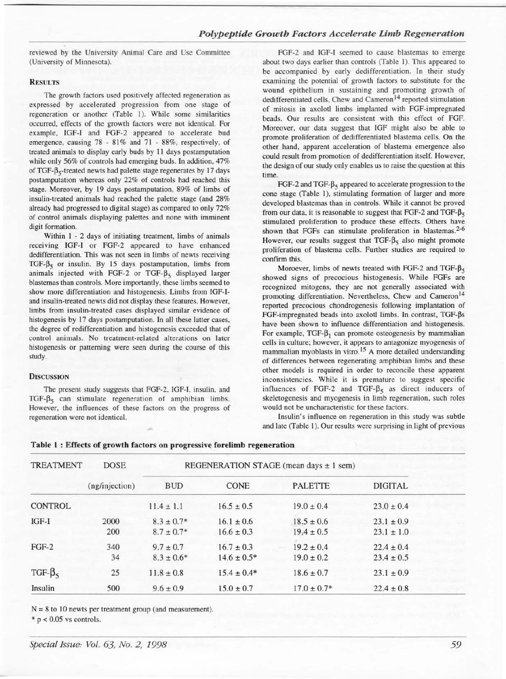reviewed by the University Animal Care and Use Committee (University of Minnesota).

#### **RESULTS**

The growth factors used positively affected regeneration as expressed by accelerated progression from one stage of regeneration or another (Table 1). While some similarities occurred, effects of the growth factors were not identical. For example, IGF-I and FGF-2 appeared to accelerate bud emergence, causing 78 - 81% and 71 - 88%, respectively, of treated animals to display early buds by II days postamputation while only 56% of controls had emerging buds. In addition, 47% of TGF- $\beta_{5}$ -treated newts had palette stage regenerates by 17 days postamputation whereas only 22% of controls had reached this stage. Moreover, by 19 days postamputation, 89% of limbs of insulin-treated animals had reached the palette stage (and 28% already had progressed to digital stage) as compared to only 72% of control animals displaying palettes and none with imminent digit formation.

Within I - 2 days of initiating treatment, limbs of animals receiving IGF-1 or FGF-2 appeared to have enhanced dedifferentiation. This was not seen in limbs of newts receiving TGF- $\beta$ <sub>5</sub> or insulin. By 15 days postamputation, limbs from animals injected with FGF-2 or TGF- $\beta_5$  displayed larger blastemas than controls. More importantly, these limbs seemed to show more differentiation and histogenesis. Limbs from IGF-1 and insulin-treated newts did not display these features. However, limbs from insulin-treated cases displayed similar evidence of histogenesis by 17 days postamputation. In all these latter cases, the degree of redifferentiation and histogenesis exceeded that of control animals. No treatment-related alterations on later histogenesis or patterning were seen during the course of this study.

#### **DISCUSSION**

The present study suggests that FGF-2, IGF-1, insulin, and TGF- $\beta_5$  can stimulate regeneration of amphibian limbs. However, the influences of these factors on the progress of regeneration were not identical.

FGF-2 and IGF-1 seemed to cause blastemas to emerge about two days earlier than controls (Table 1). This appeared to be accompanied by early dedifferentiation. In their study examining the potential of growth factors to substitute for the wound epithelium in sustaining and promoting growth of dedifferentiated cells. Chew and  $Cameron<sup>14</sup>$  reported stimulation of mitosis in axolotl limbs implanted with FGF-impregnated beads. Our results are consistent with this effect of FGF. Moreover, our data suggest that IGF might also be able to promote proliferation of dedifferentiated blastema cells. On the other hand, apparent acceleration of blastema emergence also could result from promotion of dedifferentiation itself. However, the design of our study only enables us to raise the question at this time.

FGF-2 and TGF- $\beta_{5}$  appeared to accelerate progression to the cone stage (Table I), stimulating formation of larger and more developed blastemas than in controls. While it cannot be proved from our data, it is reasonable to suggest that FGF-2 and TGF- $\beta_5$ stimulated proliferation to produce these effects. Others have shown that FGFs can stimulate proliferation in blastemas.<sup>2-6</sup> However, our results suggest that TGF- $\beta_{5}$  also might promote proliferation of blastema cells. Further studies are required to confirm this.

Moroever, limbs of newts treated with FGF-2 and TGF- $\beta_5$ showed signs of precocious histogenesis. While FGFs are recognized mitogens, they are not generally associated with promoting differentiation. Nevertheless, Chew and Cameron<sup>14</sup> reported precocious chondrogenesis following implantation of  $FGF$ -impregnated beads into axolotl limbs. In contrast,  $TGF-Bs$ have been shown to influence differentiation and histogenesis. For example, TGF- $\beta_1$  can promote osteogenesis by mammalian cells in culture; however, it appears to antagonize myogenesis of mammalian myoblasts in vitro.<sup>15</sup> A more detailed understanding of differences between regenerating amphibian limbs and these other models is required in order to reconcile these apparent inconsistencies. While it is premature to suggest specific influences of FGF-2 and TGF- $\beta_5$  as direct inducers of skeletogenesis and myogenesis in limb regeneration, such roles would not be uncharacteristic for these factors.

Insulin's influence on regeneration in this study was subtle and late (Table I). Our results were surprising in light of previous

| <b>TREATMENT</b> | <b>DOSE</b><br>(ng/injection) | REGENERATION STAGE (mean days $\pm$ 1 sem) |                                   |                                  |                                  |  |
|------------------|-------------------------------|--------------------------------------------|-----------------------------------|----------------------------------|----------------------------------|--|
|                  |                               | <b>BUD</b>                                 | <b>CONE</b>                       | <b>PALETTE</b>                   | <b>DIGITAL</b>                   |  |
| <b>CONTROL</b>   |                               | $11.4 \pm 1.1$                             | $16.5 \pm 0.5$                    | $19.0 \pm 0.4$                   | $23.0 \pm 0.4$                   |  |
| $IGF-I$          | 2000<br>200                   | $8.3 \pm 0.7*$<br>$8.7 \pm 0.7*$           | $16.1 \pm 0.6$<br>$16.6 \pm 0.3$  | $18.5 \pm 0.6$<br>$19.4 \pm 0.5$ | $23.1 \pm 0.9$<br>$23.1 \pm 1.0$ |  |
| $FGF-2$          | 340<br>34                     | $9.7 \pm 0.7$<br>$8.3 \pm 0.6*$            | $16.7 \pm 0.3$<br>$14.6 \pm 0.5*$ | $19.2 \pm 0.4$<br>$19.0 \pm 0.2$ | $22.4 \pm 0.4$<br>$23.4 \pm 0.5$ |  |
| TGF- $\beta_5$   | 25                            | $11.8 \pm 0.8$                             | $15.4 \pm 0.4*$                   | $18.6 \pm 0.7$                   | $23.1 \pm 0.9$                   |  |
| Insulin          | 500                           | $9.6 \pm 0.9$                              | $15.0 \pm 0.7$                    | $17.0 \pm 0.7*$                  | $22.4 \pm 0.8$                   |  |

#### Table 1 : Effects of growth factors on progressive forelimb regeneration

 $N = 8$  to 10 newts per treatment group (and measurement).

 $* p < 0.05$  vs controls.